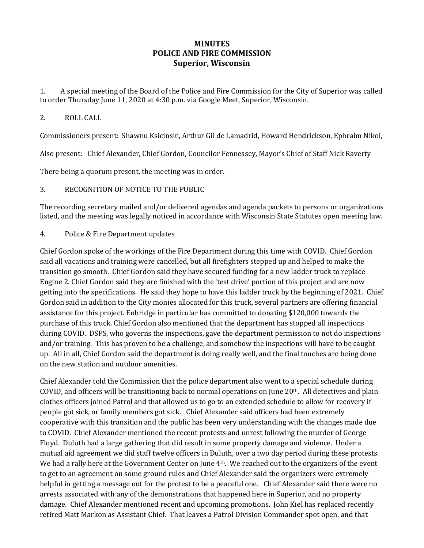## **MINUTES POLICE AND FIRE COMMISSION Superior, Wisconsin**

1. A special meeting of the Board of the Police and Fire Commission for the City of Superior was called to order Thursday June 11, 2020 at 4:30 p.m. via Google Meet, Superior, Wisconsin.

## 2. ROLL CALL

Commissioners present: Shawnu Ksicinski, Arthur Gil de Lamadrid, Howard Hendrickson, Ephraim Nikoi,

Also present: Chief Alexander, Chief Gordon, Councilor Fennessey, Mayor's Chief of Staff Nick Raverty

There being a quorum present, the meeting was in order.

## 3. RECOGNITION OF NOTICE TO THE PUBLIC

The recording secretary mailed and/or delivered agendas and agenda packets to persons or organizations listed, and the meeting was legally noticed in accordance with Wisconsin State Statutes open meeting law.

4. Police & Fire Department updates

Chief Gordon spoke of the workings of the Fire Department during this time with COVID. Chief Gordon said all vacations and training were cancelled, but all firefighters stepped up and helped to make the transition go smooth. Chief Gordon said they have secured funding for a new ladder truck to replace Engine 2. Chief Gordon said they are finished with the 'test drive' portion of this project and are now getting into the specifications. He said they hope to have this ladder truck by the beginning of 2021. Chief Gordon said in addition to the City monies allocated for this truck, several partners are offering financial assistance for this project. Enbridge in particular has committed to donating \$120,000 towards the purchase of this truck. Chief Gordon also mentioned that the department has stopped all inspections during COVID. DSPS, who governs the inspections, gave the department permission to not do inspections and/or training. This has proven to be a challenge, and somehow the inspections will have to be caught up. All in all, Chief Gordon said the department is doing really well, and the final touches are being done on the new station and outdoor amenities.

Chief Alexander told the Commission that the police department also went to a special schedule during COVID, and officers will be transitioning back to normal operations on June 20th. All detectives and plain clothes officers joined Patrol and that allowed us to go to an extended schedule to allow for recovery if people got sick, or family members got sick. Chief Alexander said officers had been extremely cooperative with this transition and the public has been very understanding with the changes made due to COVID. Chief Alexander mentioned the recent protests and unrest following the murder of George Floyd. Duluth had a large gathering that did result in some property damage and violence. Under a mutual aid agreement we did staff twelve officers in Duluth, over a two day period during these protests. We had a rally here at the Government Center on June 4<sup>th</sup>. We reached out to the organizers of the event to get to an agreement on some ground rules and Chief Alexander said the organizers were extremely helpful in getting a message out for the protest to be a peaceful one. Chief Alexander said there were no arrests associated with any of the demonstrations that happened here in Superior, and no property damage. Chief Alexander mentioned recent and upcoming promotions. John Kiel has replaced recently retired Matt Markon as Assistant Chief. That leaves a Patrol Division Commander spot open, and that